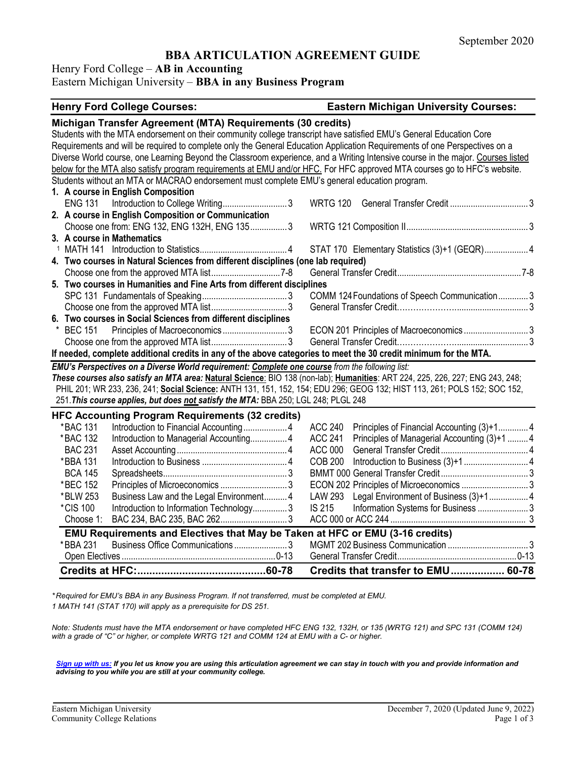## **BBA ARTICULATION AGREEMENT GUIDE**

Henry Ford College – **AB in Accounting**

#### Eastern Michigan University – **BBA in any Business Program**

#### **Henry Ford College Courses: Eastern Michigan University Courses: Michigan Transfer Agreement (MTA) Requirements (30 credits)** Students with the MTA endorsement on their community college transcript have satisfied EMU's General Education Core Requirements and will be required to complete only the General Education Application Requirements of one Perspectives on a Diverse World course, one Learning Beyond the Classroom experience, and a Writing Intensive course in the major. Courses listed below for the MTA also satisfy program requirements at EMU and/or HFC. For HFC approved MTA courses go to HFC's website. Students without an MTA or MACRAO endorsement must complete EMU's general education program. **1. A course in English Composition** ENG 131 Introduction to College Writing............................ 3 WRTG 120 General Transfer Credit .................................. 3 **2. A course in English Composition or Communication** Choose one from: ENG 132, ENG 132H, ENG 135................ 3 WRTG 121 Composition II..................................................... 3 **3. A course in Mathematics**<sup>1</sup> MATH 141 Introduction to Statistics...................................... 4 STAT 170 Elementary Statistics (3)+1 (GEQR)................... 4 **4. Two courses in Natural Sciences from different disciplines (one lab required)** Choose one from the approved MTA list..............................7-8 General Transfer Credit......................................................7-8 **5. Two courses in Humanities and Fine Arts from different disciplines** SPC 131 Fundamentals of Speaking..................................... 3 COMM 124Foundations of Speech Communication............. 3 Choose one from the approved MTA list................................. 3 General Transfer Credit…………………................................ 3 **6. Two courses in Social Sciences from different disciplines** \* BEC 151 Principles of Macroeconomics ............................ 3 ECON 201 Principles of Macroeconomics ............................ 3 Choose one from the approved MTA list................................. 3 General Transfer Credit…………………................................ 3 **If needed, complete additional credits in any of the above categories to meet the 30 credit minimum for the MTA.** *EMU's Perspectives on a Diverse World requirement: Complete one course from the following list: These courses also satisfy an MTA area:* **Natural Science**: BIO 138 (non-lab); **Humanities**: ART 224, 225, 226, 227; ENG 243, 248; PHIL 201; WR 233, 236, 241; **Social Science:** ANTH 131, 151, 152, 154; EDU 296; GEOG 132; HIST 113, 261; POLS 152; SOC 152, 251.*This course applies, but does not satisfy the MTA:* BBA 250; LGL 248; PLGL 248 **HFC Accounting Program Requirements (32 credits)** \*BAC 131 Introduction to Financial Accounting................... 4 ACC 240 Principles of Financial Accounting (3)+1............. 4 Principles of Managerial Accounting (3)+1 ......... 4 BAC 231 Asset Accounting................................................ 4 ACC 000 General Transfer Credit...................................... 4 \*BBA 131 Introduction to Business ..................................... 4 COB 200 Introduction to Business (3)+1............................ 4 BCA 145 Spreadsheets...................................................... 3 BMMT 000 General Transfer Credit...................................... 3 \*BEC 152 Principles of Microeconomics ............................. 3 ECON 202 Principles of Microeconomics ............................. 3 \*BLW 253 Business Law and the Legal Environment.......... 4 LAW 293 Legal Environment of Business (3)+1................. 4 Introduction to Information Technology................ 3 IS 215 Choose 1: BAC 234, BAC 235, BAC 262............................. 3 ACC 000 or ACC 244 ........................................................... 3 **EMU Requirements and Electives that May be Taken at HFC or EMU (3-16 credits)** \*BBA 231 Business Office Communications ....................... 3 MGMT 202 Business Communication ................................... 3 Open Electives ...................................................................0-13 General Transfer Credit....................................................0-13 **Credits at HFC:...........................................60-78 Credits that transfer to EMU.................. 60-78**

*\* Required for EMU's BBA in any Business Program. If not transferred, must be completed at EMU. 1 MATH 141 (STAT 170) will apply as a prerequisite for DS 251.*

*Note: Students must have the MTA endorsement or have completed HFC ENG 132, 132H, or 135 (WRTG 121) and SPC 131 (COMM 124) with a grade of "C" or higher, or complete WRTG 121 and COMM 124 at EMU with a C- or higher.*

*[Sign up with us:](https://www.emich.edu/ccr/articulation-agreements/signup.php) If you let us know you are using this articulation agreement we can stay in touch with you and provide information and advising to you while you are still at your community college.*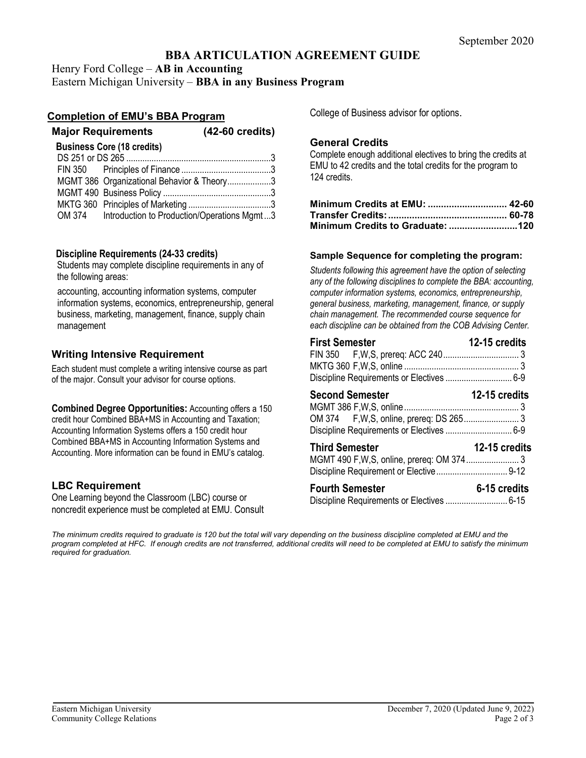# **BBA ARTICULATION AGREEMENT GUIDE**

Henry Ford College – **AB in Accounting** Eastern Michigan University – **BBA in any Business Program**

## **Completion of EMU's BBA Program**

| $(42-60 \text{ credits})$                          |
|----------------------------------------------------|
|                                                    |
|                                                    |
|                                                    |
| MGMT 386 Organizational Behavior & Theory3         |
|                                                    |
|                                                    |
| OM 374 Introduction to Production/Operations Mgmt3 |
|                                                    |

### **Discipline Requirements (24-33 credits)**

Students may complete discipline requirements in any of the following areas:

accounting, accounting information systems, computer information systems, economics, entrepreneurship, general business, marketing, management, finance, supply chain management

## **Writing Intensive Requirement**

Each student must complete a writing intensive course as part of the major. Consult your advisor for course options.

**Combined Degree Opportunities:** Accounting offers a 150 credit hour Combined BBA+MS in Accounting and Taxation; Accounting Information Systems offers a 150 credit hour Combined BBA+MS in Accounting Information Systems and Accounting. More information can be found in EMU's catalog.

## **LBC Requirement**

One Learning beyond the Classroom (LBC) course or noncredit experience must be completed at EMU. Consult College of Business advisor for options.

## **General Credits**

Complete enough additional electives to bring the credits at EMU to 42 credits and the total credits for the program to 124 credits.

### **Sample Sequence for completing the program:**

*Students following this agreement have the option of selecting any of the following disciplines to complete the BBA: accounting, computer information systems, economics, entrepreneurship, general business, marketing, management, finance, or supply chain management. The recommended course sequence for each discipline can be obtained from the COB Advising Center.* 

| <b>First Semester</b>                     | 12-15 credits |
|-------------------------------------------|---------------|
|                                           |               |
|                                           |               |
| <b>Second Semester</b>                    | 12-15 credits |
| Discipline Requirements or Electives  6-9 |               |
| <b>Third Semester</b>                     | 12-15 credits |
| <b>Fourth Semester</b>                    | 6-15 credits  |

*The minimum credits required to graduate is 120 but the total will vary depending on the business discipline completed at EMU and the program completed at HFC. If enough credits are not transferred, additional credits will need to be completed at EMU to satisfy the minimum required for graduation.*